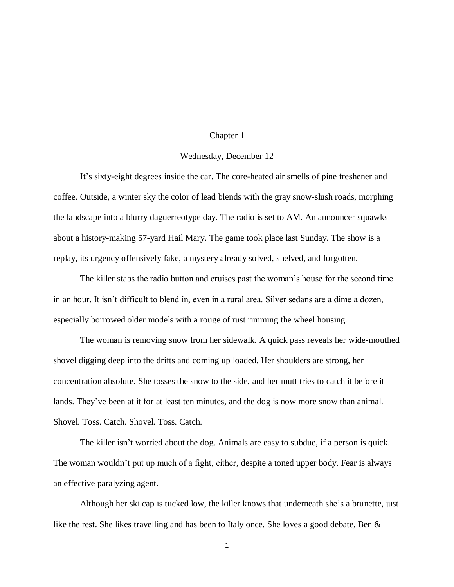#### Chapter 1

# Wednesday, December 12

It's sixty-eight degrees inside the car. The core-heated air smells of pine freshener and coffee. Outside, a winter sky the color of lead blends with the gray snow-slush roads, morphing the landscape into a blurry daguerreotype day. The radio is set to AM. An announcer squawks about a history-making 57-yard Hail Mary. The game took place last Sunday. The show is a replay, its urgency offensively fake, a mystery already solved, shelved, and forgotten.

The killer stabs the radio button and cruises past the woman's house for the second time in an hour. It isn't difficult to blend in, even in a rural area. Silver sedans are a dime a dozen, especially borrowed older models with a rouge of rust rimming the wheel housing.

The woman is removing snow from her sidewalk. A quick pass reveals her wide-mouthed shovel digging deep into the drifts and coming up loaded. Her shoulders are strong, her concentration absolute. She tosses the snow to the side, and her mutt tries to catch it before it lands. They've been at it for at least ten minutes, and the dog is now more snow than animal. Shovel. Toss. Catch. Shovel. Toss. Catch.

The killer isn't worried about the dog. Animals are easy to subdue, if a person is quick. The woman wouldn't put up much of a fight, either, despite a toned upper body. Fear is always an effective paralyzing agent.

Although her ski cap is tucked low, the killer knows that underneath she's a brunette, just like the rest. She likes travelling and has been to Italy once. She loves a good debate, Ben &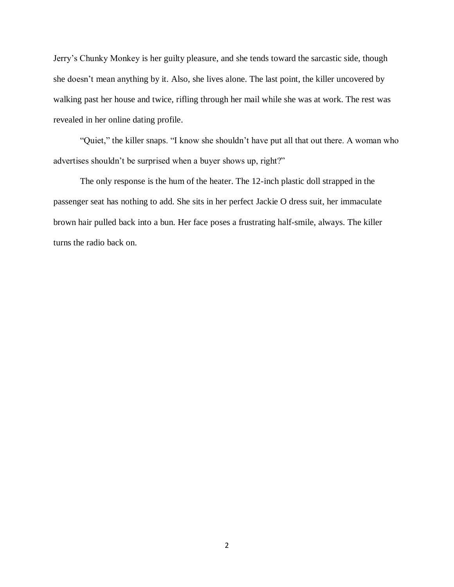Jerry's Chunky Monkey is her guilty pleasure, and she tends toward the sarcastic side, though she doesn't mean anything by it. Also, she lives alone. The last point, the killer uncovered by walking past her house and twice, rifling through her mail while she was at work. The rest was revealed in her online dating profile.

"Quiet," the killer snaps. "I know she shouldn't have put all that out there. A woman who advertises shouldn't be surprised when a buyer shows up, right?"

The only response is the hum of the heater. The 12-inch plastic doll strapped in the passenger seat has nothing to add. She sits in her perfect Jackie O dress suit, her immaculate brown hair pulled back into a bun. Her face poses a frustrating half-smile, always. The killer turns the radio back on.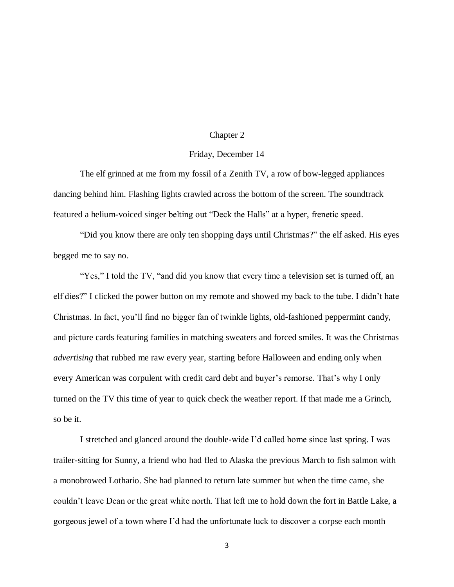### Chapter 2

## Friday, December 14

The elf grinned at me from my fossil of a Zenith TV, a row of bow-legged appliances dancing behind him. Flashing lights crawled across the bottom of the screen. The soundtrack featured a helium-voiced singer belting out "Deck the Halls" at a hyper, frenetic speed.

"Did you know there are only ten shopping days until Christmas?" the elf asked. His eyes begged me to say no.

"Yes," I told the TV, "and did you know that every time a television set is turned off, an elf dies?" I clicked the power button on my remote and showed my back to the tube. I didn't hate Christmas. In fact, you'll find no bigger fan of twinkle lights, old-fashioned peppermint candy, and picture cards featuring families in matching sweaters and forced smiles. It was the Christmas *advertising* that rubbed me raw every year, starting before Halloween and ending only when every American was corpulent with credit card debt and buyer's remorse. That's why I only turned on the TV this time of year to quick check the weather report. If that made me a Grinch, so be it.

I stretched and glanced around the double-wide I'd called home since last spring. I was trailer-sitting for Sunny, a friend who had fled to Alaska the previous March to fish salmon with a monobrowed Lothario. She had planned to return late summer but when the time came, she couldn't leave Dean or the great white north. That left me to hold down the fort in Battle Lake, a gorgeous jewel of a town where I'd had the unfortunate luck to discover a corpse each month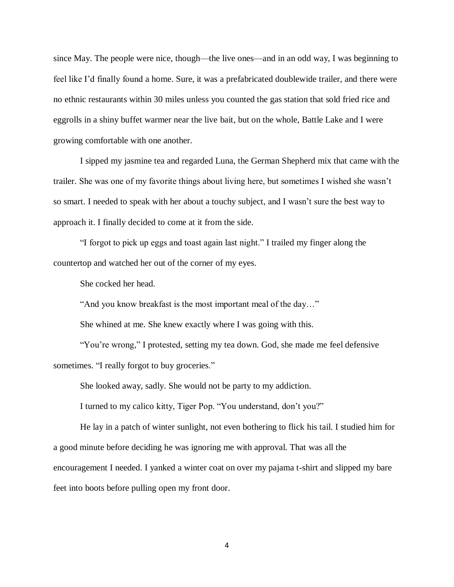since May. The people were nice, though—the live ones—and in an odd way, I was beginning to feel like I'd finally found a home. Sure, it was a prefabricated doublewide trailer, and there were no ethnic restaurants within 30 miles unless you counted the gas station that sold fried rice and eggrolls in a shiny buffet warmer near the live bait, but on the whole, Battle Lake and I were growing comfortable with one another.

I sipped my jasmine tea and regarded Luna, the German Shepherd mix that came with the trailer. She was one of my favorite things about living here, but sometimes I wished she wasn't so smart. I needed to speak with her about a touchy subject, and I wasn't sure the best way to approach it. I finally decided to come at it from the side.

"I forgot to pick up eggs and toast again last night." I trailed my finger along the countertop and watched her out of the corner of my eyes.

She cocked her head.

"And you know breakfast is the most important meal of the day…"

She whined at me. She knew exactly where I was going with this.

"You're wrong," I protested, setting my tea down. God, she made me feel defensive sometimes. "I really forgot to buy groceries."

She looked away, sadly. She would not be party to my addiction.

I turned to my calico kitty, Tiger Pop. "You understand, don't you?"

He lay in a patch of winter sunlight, not even bothering to flick his tail. I studied him for a good minute before deciding he was ignoring me with approval. That was all the encouragement I needed. I yanked a winter coat on over my pajama t-shirt and slipped my bare feet into boots before pulling open my front door.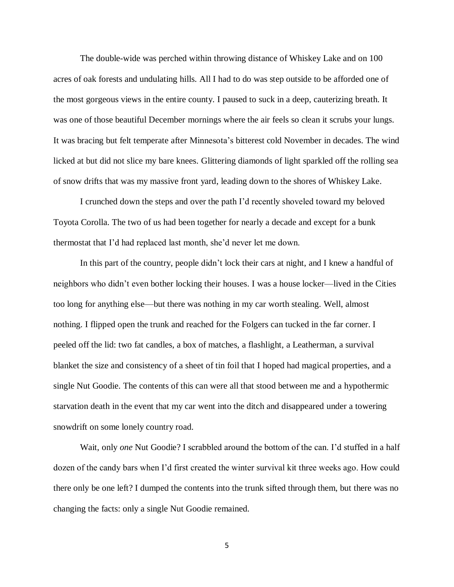The double-wide was perched within throwing distance of Whiskey Lake and on 100 acres of oak forests and undulating hills. All I had to do was step outside to be afforded one of the most gorgeous views in the entire county. I paused to suck in a deep, cauterizing breath. It was one of those beautiful December mornings where the air feels so clean it scrubs your lungs. It was bracing but felt temperate after Minnesota's bitterest cold November in decades. The wind licked at but did not slice my bare knees. Glittering diamonds of light sparkled off the rolling sea of snow drifts that was my massive front yard, leading down to the shores of Whiskey Lake.

I crunched down the steps and over the path I'd recently shoveled toward my beloved Toyota Corolla. The two of us had been together for nearly a decade and except for a bunk thermostat that I'd had replaced last month, she'd never let me down.

In this part of the country, people didn't lock their cars at night, and I knew a handful of neighbors who didn't even bother locking their houses. I was a house locker—lived in the Cities too long for anything else—but there was nothing in my car worth stealing. Well, almost nothing. I flipped open the trunk and reached for the Folgers can tucked in the far corner. I peeled off the lid: two fat candles, a box of matches, a flashlight, a Leatherman, a survival blanket the size and consistency of a sheet of tin foil that I hoped had magical properties, and a single Nut Goodie. The contents of this can were all that stood between me and a hypothermic starvation death in the event that my car went into the ditch and disappeared under a towering snowdrift on some lonely country road.

Wait, only *one* Nut Goodie? I scrabbled around the bottom of the can. I'd stuffed in a half dozen of the candy bars when I'd first created the winter survival kit three weeks ago. How could there only be one left? I dumped the contents into the trunk sifted through them, but there was no changing the facts: only a single Nut Goodie remained.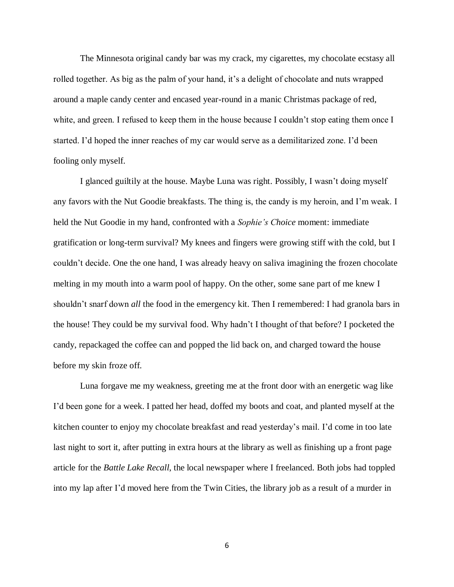The Minnesota original candy bar was my crack, my cigarettes, my chocolate ecstasy all rolled together. As big as the palm of your hand, it's a delight of chocolate and nuts wrapped around a maple candy center and encased year-round in a manic Christmas package of red, white, and green. I refused to keep them in the house because I couldn't stop eating them once I started. I'd hoped the inner reaches of my car would serve as a demilitarized zone. I'd been fooling only myself.

I glanced guiltily at the house. Maybe Luna was right. Possibly, I wasn't doing myself any favors with the Nut Goodie breakfasts. The thing is, the candy is my heroin, and I'm weak. I held the Nut Goodie in my hand, confronted with a *Sophie's Choice* moment: immediate gratification or long-term survival? My knees and fingers were growing stiff with the cold, but I couldn't decide. One the one hand, I was already heavy on saliva imagining the frozen chocolate melting in my mouth into a warm pool of happy. On the other, some sane part of me knew I shouldn't snarf down *all* the food in the emergency kit. Then I remembered: I had granola bars in the house! They could be my survival food. Why hadn't I thought of that before? I pocketed the candy, repackaged the coffee can and popped the lid back on, and charged toward the house before my skin froze off.

Luna forgave me my weakness, greeting me at the front door with an energetic wag like I'd been gone for a week. I patted her head, doffed my boots and coat, and planted myself at the kitchen counter to enjoy my chocolate breakfast and read yesterday's mail. I'd come in too late last night to sort it, after putting in extra hours at the library as well as finishing up a front page article for the *Battle Lake Recall*, the local newspaper where I freelanced. Both jobs had toppled into my lap after I'd moved here from the Twin Cities, the library job as a result of a murder in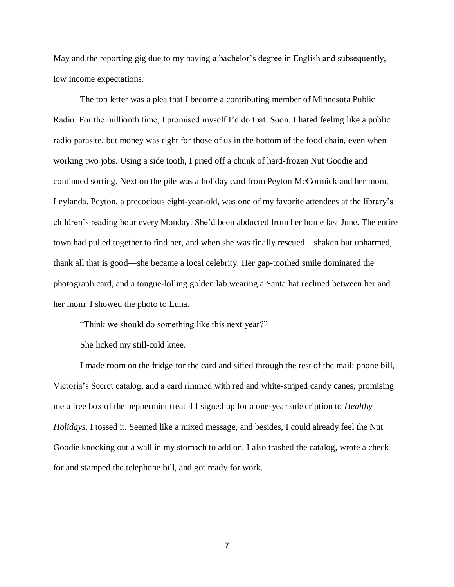May and the reporting gig due to my having a bachelor's degree in English and subsequently, low income expectations.

The top letter was a plea that I become a contributing member of Minnesota Public Radio. For the millionth time, I promised myself I'd do that. Soon. I hated feeling like a public radio parasite, but money was tight for those of us in the bottom of the food chain, even when working two jobs. Using a side tooth, I pried off a chunk of hard-frozen Nut Goodie and continued sorting. Next on the pile was a holiday card from Peyton McCormick and her mom, Leylanda. Peyton, a precocious eight-year-old, was one of my favorite attendees at the library's children's reading hour every Monday. She'd been abducted from her home last June. The entire town had pulled together to find her, and when she was finally rescued—shaken but unharmed, thank all that is good—she became a local celebrity. Her gap-toothed smile dominated the photograph card, and a tongue-lolling golden lab wearing a Santa hat reclined between her and her mom. I showed the photo to Luna.

"Think we should do something like this next year?"

She licked my still-cold knee.

I made room on the fridge for the card and sifted through the rest of the mail: phone bill, Victoria's Secret catalog, and a card rimmed with red and white-striped candy canes, promising me a free box of the peppermint treat if I signed up for a one-year subscription to *Healthy Holidays*. I tossed it. Seemed like a mixed message, and besides, I could already feel the Nut Goodie knocking out a wall in my stomach to add on. I also trashed the catalog, wrote a check for and stamped the telephone bill, and got ready for work.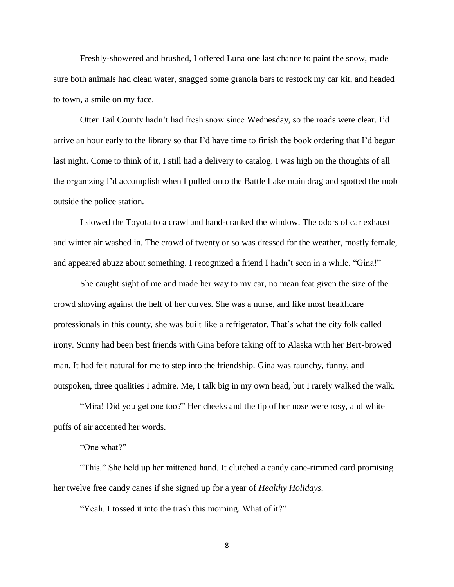Freshly-showered and brushed, I offered Luna one last chance to paint the snow, made sure both animals had clean water, snagged some granola bars to restock my car kit, and headed to town, a smile on my face.

Otter Tail County hadn't had fresh snow since Wednesday, so the roads were clear. I'd arrive an hour early to the library so that I'd have time to finish the book ordering that I'd begun last night. Come to think of it, I still had a delivery to catalog. I was high on the thoughts of all the organizing I'd accomplish when I pulled onto the Battle Lake main drag and spotted the mob outside the police station.

I slowed the Toyota to a crawl and hand-cranked the window. The odors of car exhaust and winter air washed in. The crowd of twenty or so was dressed for the weather, mostly female, and appeared abuzz about something. I recognized a friend I hadn't seen in a while. "Gina!"

She caught sight of me and made her way to my car, no mean feat given the size of the crowd shoving against the heft of her curves. She was a nurse, and like most healthcare professionals in this county, she was built like a refrigerator. That's what the city folk called irony. Sunny had been best friends with Gina before taking off to Alaska with her Bert-browed man. It had felt natural for me to step into the friendship. Gina was raunchy, funny, and outspoken, three qualities I admire. Me, I talk big in my own head, but I rarely walked the walk.

"Mira! Did you get one too?" Her cheeks and the tip of her nose were rosy, and white puffs of air accented her words.

### "One what?"

"This." She held up her mittened hand. It clutched a candy cane-rimmed card promising her twelve free candy canes if she signed up for a year of *Healthy Holidays*.

"Yeah. I tossed it into the trash this morning. What of it?"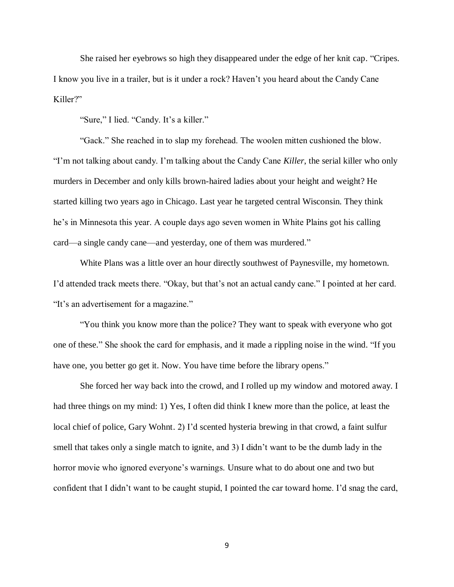She raised her eyebrows so high they disappeared under the edge of her knit cap. "Cripes. I know you live in a trailer, but is it under a rock? Haven't you heard about the Candy Cane Killer?"

"Sure," I lied. "Candy. It's a killer."

"Gack." She reached in to slap my forehead. The woolen mitten cushioned the blow. "I'm not talking about candy. I'm talking about the Candy Cane *Killer*, the serial killer who only murders in December and only kills brown-haired ladies about your height and weight? He started killing two years ago in Chicago. Last year he targeted central Wisconsin. They think he's in Minnesota this year. A couple days ago seven women in White Plains got his calling card—a single candy cane—and yesterday, one of them was murdered."

White Plans was a little over an hour directly southwest of Paynesville, my hometown. I'd attended track meets there. "Okay, but that's not an actual candy cane." I pointed at her card. "It's an advertisement for a magazine."

"You think you know more than the police? They want to speak with everyone who got one of these." She shook the card for emphasis, and it made a rippling noise in the wind. "If you have one, you better go get it. Now. You have time before the library opens."

She forced her way back into the crowd, and I rolled up my window and motored away. I had three things on my mind: 1) Yes, I often did think I knew more than the police, at least the local chief of police, Gary Wohnt. 2) I'd scented hysteria brewing in that crowd, a faint sulfur smell that takes only a single match to ignite, and 3) I didn't want to be the dumb lady in the horror movie who ignored everyone's warnings. Unsure what to do about one and two but confident that I didn't want to be caught stupid, I pointed the car toward home. I'd snag the card,